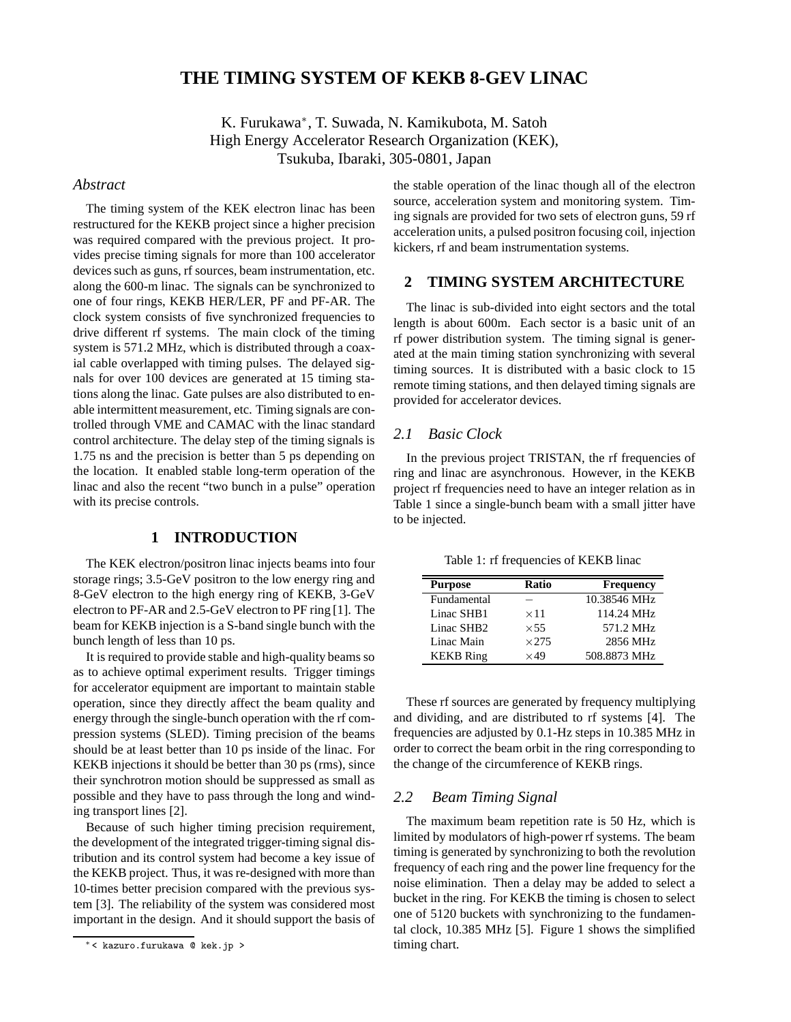# **THE TIMING SYSTEM OF KEKB 8-GEV LINAC**

K. Furukawa<sup>\*</sup>, T. Suwada, N. Kamikubota, M. Satoh High Energy Accelerator Research Organization (KEK), Tsukuba, Ibaraki, 305-0801, Japan

### *Abstract*

The timing system of the KEK electron linac has been restructured for the KEKB project since a higher precision was required compared with the previous project. It provides precise timing signals for more than 100 accelerator devices such as guns, rf sources, beam instrumentation, etc. along the 600-m linac. The signals can be synchronized to one of four rings, KEKB HER/LER, PF and PF-AR. The clock system consists of five synchronized frequencies to drive different rf systems. The main clock of the timing system is 571.2 MHz, which is distributed through a coaxial cable overlapped with timing pulses. The delayed signals for over 100 devices are generated at 15 timing stations along the linac. Gate pulses are also distributed to enable intermittent measurement, etc. Timing signals are controlled through VME and CAMAC with the linac standard control architecture. The delay step of the timing signals is 1.75 ns and the precision is better than 5 ps depending on the location. It enabled stable long-term operation of the linac and also the recent "two bunch in a pulse" operation with its precise controls.

### **1 INTRODUCTION**

The KEK electron/positron linac injects beams into four storage rings; 3.5-GeV positron to the low energy ring and 8-GeV electron to the high energy ring of KEKB, 3-GeV electron to PF-AR and 2.5-GeV electron to PF ring [1]. The beam for KEKB injection is a S-band single bunch with the bunch length of less than 10 ps.

It is required to provide stable and high-quality beams so as to achieve optimal experiment results. Trigger timings for accelerator equipment are important to maintain stable operation, since they directly affect the beam quality and energy through the single-bunch operation with the rf compression systems (SLED). Timing precision of the beams should be at least better than 10 ps inside of the linac. For KEKB injections it should be better than 30 ps (rms), since their synchrotron motion should be suppressed as small as possible and they have to pass through the long and winding transport lines [2].

Because of such higher timing precision requirement, the development of the integrated trigger-timing signal distribution and its control system had become a key issue of the KEKB project. Thus, it was re-designed with more than 10-times better precision compared with the previous system [3]. The reliability of the system was considered most important in the design. And it should support the basis of the stable operation of the linac though all of the electron source, acceleration system and monitoring system. Timing signals are provided for two sets of electron guns, 59 rf acceleration units, a pulsed positron focusing coil, injection kickers, rf and beam instrumentation systems.

#### **2 TIMING SYSTEM ARCHITECTURE**

The linac is sub-divided into eight sectors and the total length is about 600m. Each sector is a basic unit of an rf power distribution system. The timing signal is generated at the main timing station synchronizing with several timing sources. It is distributed with a basic clock to 15 remote timing stations, and then delayed timing signals are provided for accelerator devices.

## *2.1 Basic Clock*

In the previous project TRISTAN, the rf frequencies of ring and linac are asynchronous. However, in the KEKB project rf frequencies need to have an integer relation as in Table 1 since a single-bunch beam with a small jitter have to be injected.

Table 1: rf frequencies of KEKB linac

| <b>Purpose</b>         | <b>Ratio</b> | <b>Frequency</b> |
|------------------------|--------------|------------------|
| Fundamental            |              | 10.38546 MHz     |
| Linac SHB1             | $\times$ 11  | 114.24 MHz       |
| Linac SHB <sub>2</sub> | $\times$ 55  | 571.2 MHz        |
| Linac Main             | $\times$ 275 | 2856 MHz         |
| <b>KEKB</b> Ring       | $\times$ 49  | 508.8873 MHz     |

These rf sources are generated by frequency multiplying and dividing, and are distributed to rf systems [4]. The frequencies are adjusted by 0.1-Hz steps in 10.385 MHz in order to correct the beam orbit in the ring corresponding to the change of the circumference of KEKB rings.

### *2.2 Beam Timing Signal*

The maximum beam repetition rate is 50 Hz, which is limited by modulators of high-power rf systems. The beam timing is generated by synchronizing to both the revolution frequency of each ring and the power line frequency for the noise elimination. Then a delay may be added to select a bucket in the ring. For KEKB the timing is chosen to select one of 5120 buckets with synchronizing to the fundamental clock, 10.385 MHz [5]. Figure 1 shows the simplified timing chart.

<sup>∗</sup> < kazuro.furukawa @ kek.jp >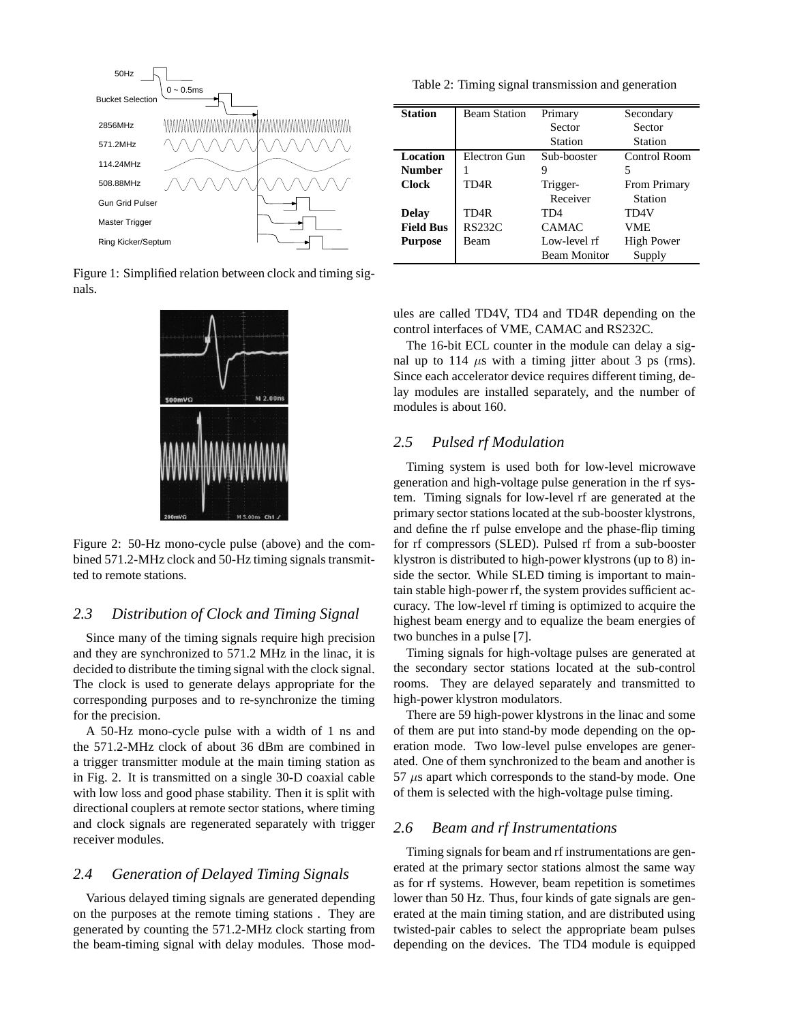

Figure 1: Simplified relation between clock and timing signals.



Figure 2: 50-Hz mono-cycle pulse (above) and the combined 571.2-MHz clock and 50-Hz timing signals transmitted to remote stations.

### *2.3 Distribution of Clock and Timing Signal*

Since many of the timing signals require high precision and they are synchronized to 571.2 MHz in the linac, it is decided to distribute the timing signal with the clock signal. The clock is used to generate delays appropriate for the corresponding purposes and to re-synchronize the timing for the precision.

A 50-Hz mono-cycle pulse with a width of 1 ns and the 571.2-MHz clock of about 36 dBm are combined in a trigger transmitter module at the main timing station as in Fig. 2. It is transmitted on a single 30-D coaxial cable with low loss and good phase stability. Then it is split with directional couplers at remote sector stations, where timing and clock signals are regenerated separately with trigger receiver modules.

### *2.4 Generation of Delayed Timing Signals*

Various delayed timing signals are generated depending on the purposes at the remote timing stations . They are generated by counting the 571.2-MHz clock starting from the beam-timing signal with delay modules. Those mod-

Table 2: Timing signal transmission and generation

| <b>Station</b>   | <b>Beam Station</b> | Primary             | Secondary           |
|------------------|---------------------|---------------------|---------------------|
|                  |                     | Sector              | Sector              |
|                  |                     | <b>Station</b>      | Station             |
| Location         | Electron Gun        | Sub-booster         | Control Room        |
| <b>Number</b>    |                     | 9                   | 5                   |
| <b>Clock</b>     | TD <sub>4</sub> R   | Trigger-            | <b>From Primary</b> |
|                  |                     | Receiver            | <b>Station</b>      |
| <b>Delay</b>     | TD4R                | TD4                 | TD4V                |
| <b>Field Bus</b> | <b>RS232C</b>       | <b>CAMAC</b>        | VME.                |
| <b>Purpose</b>   | Beam                | Low-level rf        | <b>High Power</b>   |
|                  |                     | <b>Beam Monitor</b> | Supply              |

ules are called TD4V, TD4 and TD4R depending on the control interfaces of VME, CAMAC and RS232C.

The 16-bit ECL counter in the module can delay a signal up to 114  $\mu$ s with a timing jitter about 3 ps (rms). Since each accelerator device requires different timing, delay modules are installed separately, and the number of modules is about 160.

### *2.5 Pulsed rf Modulation*

Timing system is used both for low-level microwave generation and high-voltage pulse generation in the rf system. Timing signals for low-level rf are generated at the primary sector stations located at the sub-booster klystrons, and define the rf pulse envelope and the phase-flip timing for rf compressors (SLED). Pulsed rf from a sub-booster klystron is distributed to high-power klystrons (up to 8) inside the sector. While SLED timing is important to maintain stable high-power rf, the system provides sufficient accuracy. The low-level rf timing is optimized to acquire the highest beam energy and to equalize the beam energies of two bunches in a pulse [7].

Timing signals for high-voltage pulses are generated at the secondary sector stations located at the sub-control rooms. They are delayed separately and transmitted to high-power klystron modulators.

There are 59 high-power klystrons in the linac and some of them are put into stand-by mode depending on the operation mode. Two low-level pulse envelopes are generated. One of them synchronized to the beam and another is  $57 \mu s$  apart which corresponds to the stand-by mode. One of them is selected with the high-voltage pulse timing.

### *2.6 Beam and rf Instrumentations*

Timing signals for beam and rf instrumentations are generated at the primary sector stations almost the same way as for rf systems. However, beam repetition is sometimes lower than 50 Hz. Thus, four kinds of gate signals are generated at the main timing station, and are distributed using twisted-pair cables to select the appropriate beam pulses depending on the devices. The TD4 module is equipped